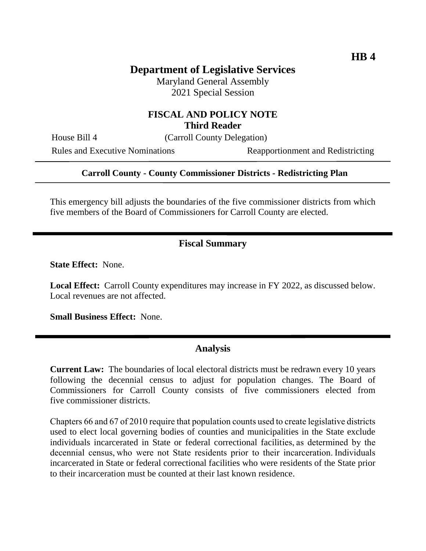# **Department of Legislative Services**

Maryland General Assembly 2021 Special Session

## **FISCAL AND POLICY NOTE Third Reader**

House Bill 4 (Carroll County Delegation)

Rules and Executive Nominations Reapportionment and Redistricting

#### **Carroll County - County Commissioner Districts - Redistricting Plan**

This emergency bill adjusts the boundaries of the five commissioner districts from which five members of the Board of Commissioners for Carroll County are elected.

### **Fiscal Summary**

**State Effect:** None.

**Local Effect:** Carroll County expenditures may increase in FY 2022, as discussed below. Local revenues are not affected.

**Small Business Effect:** None.

#### **Analysis**

**Current Law:** The boundaries of local electoral districts must be redrawn every 10 years following the decennial census to adjust for population changes. The Board of Commissioners for Carroll County consists of five commissioners elected from five commissioner districts.

Chapters 66 and 67 of 2010 require that population counts used to create legislative districts used to elect local governing bodies of counties and municipalities in the State exclude individuals incarcerated in State or federal correctional facilities, as determined by the decennial census, who were not State residents prior to their incarceration. Individuals incarcerated in State or federal correctional facilities who were residents of the State prior to their incarceration must be counted at their last known residence.